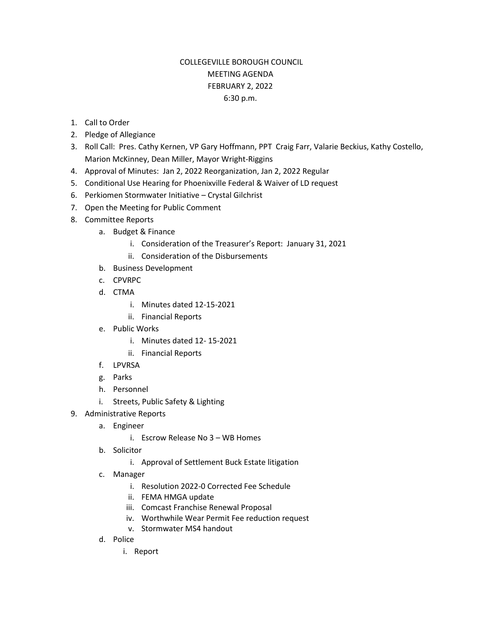## COLLEGEVILLE BOROUGH COUNCIL MEETING AGENDA FEBRUARY 2, 2022 6:30 p.m.

- 1. Call to Order
- 2. Pledge of Allegiance
- 3. Roll Call: Pres. Cathy Kernen, VP Gary Hoffmann, PPT Craig Farr, Valarie Beckius, Kathy Costello, Marion McKinney, Dean Miller, Mayor Wright-Riggins
- 4. Approval of Minutes: Jan 2, 2022 Reorganization, Jan 2, 2022 Regular
- 5. Conditional Use Hearing for Phoenixville Federal & Waiver of LD request
- 6. Perkiomen Stormwater Initiative Crystal Gilchrist
- 7. Open the Meeting for Public Comment
- 8. Committee Reports
	- a. Budget & Finance
		- i. Consideration of the Treasurer's Report: January 31, 2021
		- ii. Consideration of the Disbursements
	- b. Business Development
	- c. CPVRPC
	- d. CTMA
		- i. Minutes dated 12-15-2021
		- ii. Financial Reports
	- e. Public Works
		- i. Minutes dated 12- 15-2021
		- ii. Financial Reports
	- f. LPVRSA
	- g. Parks
	- h. Personnel
	- i. Streets, Public Safety & Lighting
- 9. Administrative Reports
	- a. Engineer
		- i. Escrow Release No 3 WB Homes
	- b. Solicitor
		- i. Approval of Settlement Buck Estate litigation
	- c. Manager
		- i. Resolution 2022-0 Corrected Fee Schedule
		- ii. FEMA HMGA update
		- iii. Comcast Franchise Renewal Proposal
		- iv. Worthwhile Wear Permit Fee reduction request
		- v. Stormwater MS4 handout
	- d. Police
		- i. Report